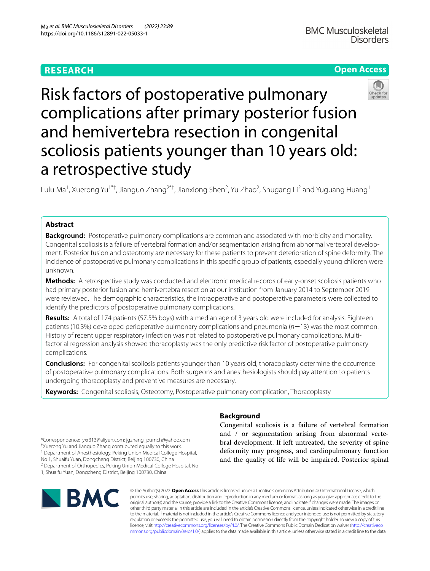# **RESEARCH**

# **Open Access**



Risk factors of postoperative pulmonary complications after primary posterior fusion and hemivertebra resection in congenital scoliosis patients younger than 10 years old: a retrospective study

Lulu Ma<sup>1</sup>, Xuerong Yu<sup>1\*†</sup>, Jianguo Zhang<sup>2\*†</sup>, Jianxiong Shen<sup>2</sup>, Yu Zhao<sup>2</sup>, Shugang Li<sup>2</sup> and Yuguang Huang<sup>1</sup>

# **Abstract**

**Background:** Postoperative pulmonary complications are common and associated with morbidity and mortality. Congenital scoliosis is a failure of vertebral formation and/or segmentation arising from abnormal vertebral development. Posterior fusion and osteotomy are necessary for these patients to prevent deterioration of spine deformity. The incidence of postoperative pulmonary complications in this specifc group of patients, especially young children were unknown.

**Methods:** A retrospective study was conducted and electronic medical records of early-onset scoliosis patients who had primary posterior fusion and hemivertebra resection at our institution from January 2014 to September 2019 were reviewed. The demographic characteristics, the intraoperative and postoperative parameters were collected to identify the predictors of postoperative pulmonary complications.

**Results:** A total of 174 patients (57.5% boys) with a median age of 3 years old were included for analysis. Eighteen patients (10.3%) developed perioperative pulmonary complications and pneumonia (*n*=13) was the most common. History of recent upper respiratory infection was not related to postoperative pulmonary complications. Multifactorial regression analysis showed thoracoplasty was the only predictive risk factor of postoperative pulmonary complications.

**Conclusions:** For congenital scoliosis patients younger than 10 years old, thoracoplasty determine the occurrence of postoperative pulmonary complications. Both surgeons and anesthesiologists should pay attention to patients undergoing thoracoplasty and preventive measures are necessary.

**Keywords:** Congenital scoliosis, Osteotomy, Postoperative pulmonary complication, Thoracoplasty

\*Correspondence: yxr313@aliyun.com; jgzhang\_pumch@yahoo.com † Xuerong Yu and Jianguo Zhang contributed equally to this work. <sup>1</sup> Department of Anesthesiology, Peking Union Medical College Hospital,

No 1, Shuaifu Yuan, Dongcheng District, Beijing 100730, China

<sup>2</sup> Department of Orthopedics, Peking Union Medical College Hospital, No

1, Shuaifu Yuan, Dongcheng District, Beijing 100730, China



# **Background**

Congenital scoliosis is a failure of vertebral formation and / or segmentation arising from abnormal vertebral development. If left untreated, the severity of spine deformity may progress, and cardiopulmonary function and the quality of life will be impaired. Posterior spinal

© The Author(s) 2022. **Open Access** This article is licensed under a Creative Commons Attribution 4.0 International License, which permits use, sharing, adaptation, distribution and reproduction in any medium or format, as long as you give appropriate credit to the original author(s) and the source, provide a link to the Creative Commons licence, and indicate if changes were made. The images or other third party material in this article are included in the article's Creative Commons licence, unless indicated otherwise in a credit line to the material. If material is not included in the article's Creative Commons licence and your intended use is not permitted by statutory regulation or exceeds the permitted use, you will need to obtain permission directly from the copyright holder. To view a copy of this licence, visit [http://creativecommons.org/licenses/by/4.0/.](http://creativecommons.org/licenses/by/4.0/) The Creative Commons Public Domain Dedication waiver ([http://creativeco](http://creativecommons.org/publicdomain/zero/1.0/) [mmons.org/publicdomain/zero/1.0/](http://creativecommons.org/publicdomain/zero/1.0/)) applies to the data made available in this article, unless otherwise stated in a credit line to the data.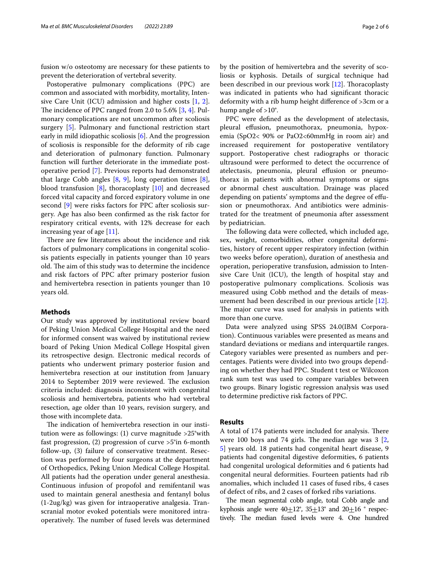fusion w/o osteotomy are necessary for these patients to prevent the deterioration of vertebral severity.

Postoperative pulmonary complications (PPC) are common and associated with morbidity, mortality, Intensive Care Unit (ICU) admission and higher costs [\[1](#page-4-0), [2](#page-4-1)]. The incidence of PPC ranged from 2.0 to 5.6%  $[3, 4]$  $[3, 4]$  $[3, 4]$  $[3, 4]$ . Pulmonary complications are not uncommon after scoliosis surgery [[5\]](#page-4-4). Pulmonary and functional restriction start early in mild idiopathic scoliosis [[6\]](#page-4-5). And the progression of scoliosis is responsible for the deformity of rib cage and deterioration of pulmonary function. Pulmonary function will further deteriorate in the immediate postoperative period [[7\]](#page-4-6). Previous reports had demonstrated that large Cobb angles  $[8, 9]$  $[8, 9]$  $[8, 9]$  $[8, 9]$ , long operation times  $[8]$  $[8]$ , blood transfusion  $[8]$  $[8]$ , thoracoplasty  $[10]$  $[10]$  and decreased forced vital capacity and forced expiratory volume in one second [[9\]](#page-4-8) were risks factors for PPC after scoliosis surgery. Age has also been confrmed as the risk factor for respiratory critical events, with 12% decrease for each increasing year of age [\[11\]](#page-5-0).

There are few literatures about the incidence and risk factors of pulmonary complications in congenital scoliosis patients especially in patients younger than 10 years old. The aim of this study was to determine the incidence and risk factors of PPC after primary posterior fusion and hemivertebra resection in patients younger than 10 years old.

## **Methods**

Our study was approved by institutional review board of Peking Union Medical College Hospital and the need for informed consent was waived by institutional review board of Peking Union Medical College Hospital given its retrospective design. Electronic medical records of patients who underwent primary posterior fusion and hemivertebra resection at our institution from January 2014 to September 2019 were reviewed. The exclusion criteria included: diagnosis inconsistent with congenital scoliosis and hemivertebra, patients who had vertebral resection, age older than 10 years, revision surgery, and those with incomplete data.

The indication of hemivertebra resection in our institution were as followings: (1) curve magnitude >25°with fast progression, (2) progression of curve >5°in 6-month follow-up, (3) failure of conservative treatment. Resection was performed by four surgeons at the department of Orthopedics, Peking Union Medical College Hospital. All patients had the operation under general anesthesia. Continuous infusion of propofol and remifentanil was used to maintain general anesthesia and fentanyl bolus (1-2ug/kg) was given for intraoperative analgesia. Transcranial motor evoked potentials were monitored intraoperatively. The number of fused levels was determined by the position of hemivertebra and the severity of scoliosis or kyphosis. Details of surgical technique had been described in our previous work  $[12]$  $[12]$ . Thoracoplasty was indicated in patients who had signifcant thoracic deformity with a rib hump height diference of >3cm or a hump angle of >10°.

PPC were defned as the development of atelectasis, pleural efusion, pneumothorax, pneumonia, hypoxemia (SpO2< 90% or PaO2<60mmHg in room air) and increased requirement for postoperative ventilatory support. Postoperative chest radiographs or thoracic ultrasound were performed to detect the occurrence of atelectasis, pneumonia, pleural efusion or pneumothorax in patients with abnormal symptoms or signs or abnormal chest auscultation. Drainage was placed depending on patients' symptoms and the degree of efusion or pneumothorax. And antibiotics were administrated for the treatment of pneumonia after assessment by pediatrician.

The following data were collected, which included age, sex, weight, comorbidities, other congenital deformities, history of recent upper respiratory infection (within two weeks before operation), duration of anesthesia and operation, perioperative transfusion, admission to Intensive Care Unit (ICU), the length of hospital stay and postoperative pulmonary complications. Scoliosis was measured using Cobb method and the details of measurement had been described in our previous article [\[12](#page-5-1)]. The major curve was used for analysis in patients with more than one curve.

Data were analyzed using SPSS 24.0(IBM Corporation). Continuous variables were presented as means and standard deviations or medians and interquartile ranges. Category variables were presented as numbers and percentages. Patients were divided into two groups depending on whether they had PPC. Student t test or Wilcoxon rank sum test was used to compare variables between two groups. Binary logistic regression analysis was used to determine predictive risk factors of PPC.

### **Results**

A total of 174 patients were included for analysis. There were 100 boys and 74 girls. The median age was  $3$  [\[2](#page-4-1), [5\]](#page-4-4) years old. 18 patients had congenital heart disease, 9 patients had congenital digestive deformities, 6 patients had congenital urological deformities and 6 patients had congenital neural deformities. Fourteen patients had rib anomalies, which included 11 cases of fused ribs, 4 cases of defect of ribs, and 2 cases of forked ribs variations.

The mean segmental cobb angle, total Cobb angle and kyphosis angle were  $40\pm 12^{\circ}$ ,  $35\pm 13^{\circ}$  and  $20\pm 16^{\circ}$  respectively. The median fused levels were 4. One hundred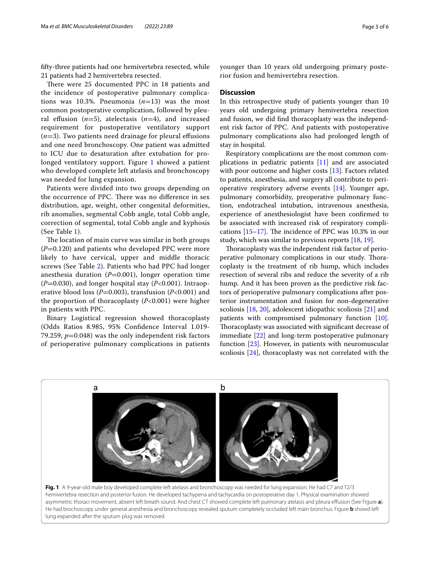ffty-three patients had one hemivertebra resected, while 21 patients had 2 hemivertebra resected.

There were 25 documented PPC in 18 patients and the incidence of postoperative pulmonary complications was 10.3%. Pneumonia (*n*=13) was the most common postoperative complication, followed by pleural effusion  $(n=5)$ , atelectasis  $(n=4)$ , and increased requirement for postoperative ventilatory support  $(n=3)$ . Two patients need drainage for pleural effusions and one need bronchoscopy. One patient was admitted to ICU due to desaturation after extubation for pro-longed ventilatory support. Figure [1](#page-2-0) showed a patient who developed complete left atelasis and bronchoscopy was needed for lung expansion.

Patients were divided into two groups depending on the occurrence of PPC. There was no difference in sex distribution, age, weight, other congenital deformities, rib anomalies, segmental Cobb angle, total Cobb angle, correction of segmental, total Cobb angle and kyphosis (See Table [1](#page-3-0)).

The location of main curve was similar in both groups  $(P=0.120)$  and patients who developed PPC were more likely to have cervical, upper and middle thoracic screws (See Table [2\)](#page-3-1). Patients who had PPC had longer anesthesia duration  $(P=0.001)$ , longer operation time (*P*=0.030), and longer hospital stay (*P*<0.001). Intraoperative blood loss (*P*=0.003), transfusion (*P*<0.001) and the proportion of thoracoplasty (*P*<0.001) were higher in patients with PPC.

Binary Logistical regression showed thoracoplasty (Odds Ratios 8.985, 95% Confdence Interval 1.019- 79.259,  $p=0.048$ ) was the only independent risk factors of perioperative pulmonary complications in patients younger than 10 years old undergoing primary posterior fusion and hemivertebra resection.

### **Discussion**

In this retrospective study of patients younger than 10 years old undergoing primary hemivertebra resection and fusion, we did fnd thoracoplasty was the independent risk factor of PPC. And patients with postoperative pulmonary complications also had prolonged length of stay in hospital.

Respiratory complications are the most common complications in pediatric patients [\[11](#page-5-0)] and are associated with poor outcome and higher costs [[13\]](#page-5-2). Factors related to patients, anesthesia, and surgery all contribute to perioperative respiratory adverse events [[14\]](#page-5-3). Younger age, pulmonary comorbidity, preoperative pulmonary function, endotracheal intubation, intravenous anesthesia, experience of anesthesiologist have been confrmed to be associated with increased risk of respiratory complications  $[15-17]$  $[15-17]$  $[15-17]$ . The incidence of PPC was 10.3% in our study, which was similar to previous reports [\[18](#page-5-6), [19\]](#page-5-7).

Thoracoplasty was the independent risk factor of perioperative pulmonary complications in our study. Thoracoplasty is the treatment of rib hump, which includes resection of several ribs and reduce the severity of a rib hump. And it has been proven as the predictive risk factors of perioperative pulmonary complications after posterior instrumentation and fusion for non-degenerative scoliosis [[18,](#page-5-6) [20](#page-5-8)], adolescent idiopathic scoliosis [[21](#page-5-9)] and patients with compromised pulmonary function [\[10](#page-4-9)]. Thoracoplasty was associated with significant decrease of immediate [[22\]](#page-5-10) and long-term postoperative pulmonary function [\[23](#page-5-11)]. However, in patients with neuromuscular scoliosis [\[24](#page-5-12)], thoracoplasty was not correlated with the



<span id="page-2-0"></span>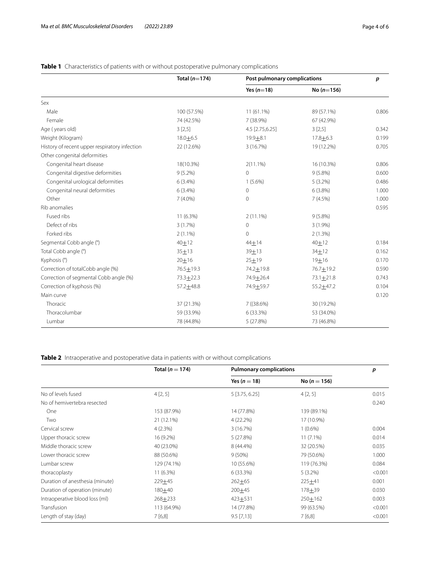## **Total (***n*=**174) Post pulmonary complications** *p* **Yes (***n*=**18) No (***n*=**156)** Sex Male 100 (57.5%) 100 (57.5%) 11 (61.1%) 89 (57.1%) 89 (57.1%) 0.806 Female 74 (42.5%) 7 (38.9%) 67 (42.9%) Age ( years old) 3 [2,5] 3 [2,5] 4.5 [2.75,6.25] 3 [2,5] 3 [2,5] 3 [2,5] 3 [2,5] 4.5 [2.75,6.25] 4.5 [2.75,6.25] 4.5 [2.75,6.25] 4.5 [2.75] 4.5 [2.75] 4.5 [2.75] 4.5 [2.75] 4.5 [2.75] 4.5 [2.75] 4.5 [2.75] 4.5 [2.75] 4.5 [ Weight (Kilogram) 18.0 $\pm$ 6.5 19.9 $\pm$ 8.1 17.8 $\pm$ 6.3 0.199 History of recent upper respiratory infection 22 (12.6%) 3 (16.7%) 19 (12.2%) 0.705 Other congenital deformities Congenital heart disease 18(10.3%) 2(11.1%) 16 (10.3%) 0.806 Congenital digestive deformities  $9(5.2\%)$  0 9 (5.8%) 9 (5.8%) 0.600 Congenital urological deformities  $(3.4\%)$   $(5.6\%)$   $(3.2\%)$   $(0.486)$  0.486 Congenital neural deformities  $(3.4\%)$  0 6 (3.8%) 6 (3.8%) 1.000 Other 2012 1.000 1.000 1.000 1.000 1.000 1.000 1.000 1.000 1.000 1.000 1.000 1.000 1.000 1.000 1.000 1.000 1.000 1.000 1.000 1.000 1.000 1.000 1.000 1.000 1.000 1.000 1.000 1.000 1.000 1.000 1.000 1.000 1.000 1.000 1.000 1 Rib anomalies 0.595 Fused ribs 11 (6.3%) 2 (11.1%) 9 (5.8%) Defect of ribs  $3(1.7\%)$   $0$   $3(1.9\%)$   $3(1.9\%)$ Forked ribs 2 (1.1%) 0 2 (1.3%) Segmental Cobb angle (°)  $40\pm12$   $44\pm14$   $40\pm12$   $184$ <br>
Total Cobb angle (°)  $35\pm13$   $39\pm13$   $34\pm12$  0.162 Total Cobb angle (°)  $35\pm13$   $39\pm13$   $34\pm12$  0.162 Kyphosis (°)  $20\pm 16$   $25\pm 19$   $19\pm 16$  0.170 Correction of totalCobb angle (%) 76.5 + 19.3 74.2 + 19.8 74.2 76.7 + 19.2 Correction of segmental Cobb angle (%) 73.3 $\pm$ 22.3 74.9 $\pm$ 26.4 73.1 $\pm$ 21.8 0.743 Correction of kyphosis (%) 67.2 $\pm$ 48.8 74.9 $\pm$ 59.7 55.2 $\pm$ 47.2 6.104 Main curve 6.120 Main curve **0.120 and 2.120 and 2.120 and 2.120 and 2.120 and 2.120 and 2.120 and 2.120 and 2.120 and 2.120 and 2.120 and 2.120 and 2.120 and 2.120 and 2.120 and 2.120 and 2.120 and 2.120 and 2.120 and 2.120 and 2.120 and** Thoracic 37 (21.3%) 7 ((38.6%) 30 (19.2%) Thoracolumbar 59 (33.9%) 6 (33.3%) 53 (34.0%) Lumbar 78 (44.8%) 5 (27.8%) 73 (46.8%)

## <span id="page-3-0"></span>**Table 1** Characteristics of patients with or without postoperative pulmonary complications

<span id="page-3-1"></span>**Table 2** Intraoperative and postoperative data in patients with or without complications

|                                 | Total ( $n = 174$ ) | <b>Pulmonary complications</b> |                  | p       |
|---------------------------------|---------------------|--------------------------------|------------------|---------|
|                                 |                     | Yes ( $n = 18$ )               | No ( $n = 156$ ) |         |
| No of levels fused              | 4[2,5]              | 5 [3.75, 6.25]                 | 4[2, 5]          | 0.015   |
| No of hemivertebra resected     |                     |                                |                  | 0.240   |
| One                             | 153 (87.9%)         | 14 (77.8%)                     | 139 (89.1%)      |         |
| Two                             | 21 (12.1%)          | 4(22.2%)                       | 17 (10.9%)       |         |
| Cervical screw                  | 4(2.3%)             | 3(16.7%)                       | $1(0.6\%)$       | 0.004   |
| Upper thoracic screw            | 16 (9.2%)           | 5(27.8%)                       | $11(7.1\%)$      | 0.014   |
| Middle thoracic screw           | 40 (23.0%)          | 8 (44.4%)                      | 32 (20.5%)       | 0.035   |
| Lower thoracic screw            | 88 (50.6%)          | $9(50\%)$                      | 79 (50.6%)       | 1.000   |
| Lumbar screw                    | 129 (74.1%)         | 10 (55.6%)                     | 119 (76.3%)      | 0.084   |
| thoracoplasty                   | 11 (6.3%)           | 6(33.3%)                       | $5(3.2\%)$       | < 0.001 |
| Duration of anesthesia (minute) | 229±45              | $262 + 65$                     | 225+41           | 0.001   |
| Duration of operation (minute)  | $180 + 40$          | $200 + 45$                     | $178 + 39$       | 0.030   |
| Intraoperative blood loss (ml)  | $268 + 233$         | 423±531                        | $250 \pm 162$    | 0.003   |
| Transfusion                     | 113 (64.9%)         | 14 (77.8%)                     | 99 (63.5%)       | < 0.001 |
| Length of stay (day)            | 7[6,8]              | $9.5$ [7,13]                   | 7[6,8]           | < 0.001 |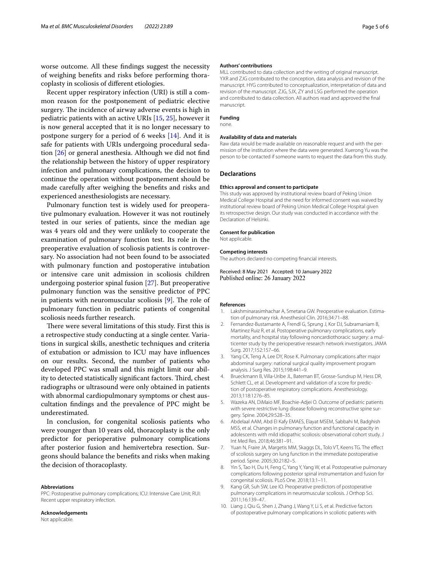worse outcome. All these fndings suggest the necessity of weighing benefts and risks before performing thoracoplasty in scoliosis of diferent etiologies.

Recent upper respiratory infection (URI) is still a common reason for the postponement of pediatric elective surgery. The incidence of airway adverse events is high in pediatric patients with an active URIs [\[15](#page-5-4), [25\]](#page-5-13), however it is now general accepted that it is no longer necessary to postpone surgery for a period of 6 weeks [\[14](#page-5-3)]. And it is safe for patients with URIs undergoing procedural sedation [\[26\]](#page-5-14) or general anesthesia. Although we did not fnd the relationship between the history of upper respiratory infection and pulmonary complications, the decision to continue the operation without postponement should be made carefully after weighing the benefts and risks and experienced anesthesiologists are necessary.

Pulmonary function test is widely used for preoperative pulmonary evaluation. However it was not routinely tested in our series of patients, since the median age was 4 years old and they were unlikely to cooperate the examination of pulmonary function test. Its role in the preoperative evaluation of scoliosis patients is controversary. No association had not been found to be associated with pulmonary function and postoperative intubation or intensive care unit admission in scoliosis children undergoing posterior spinal fusion [\[27\]](#page-5-15). But preoperative pulmonary function was the sensitive predictor of PPC in patients with neuromuscular scoliosis  $[9]$  $[9]$ . The role of pulmonary function in pediatric patients of congenital scoliosis needs further research.

There were several limitations of this study. First this is a retrospective study conducting at a single center. Variations in surgical skills, anesthetic techniques and criteria of extubation or admission to ICU may have infuences on our results. Second, the number of patients who developed PPC was small and this might limit our ability to detected statistically significant factors. Third, chest radiographs or ultrasound were only obtained in patients with abnormal cardiopulmonary symptoms or chest auscultation fndings and the prevalence of PPC might be underestimated.

In conclusion, for congenital scoliosis patients who were younger than 10 years old, thoracoplasty is the only predictor for perioperative pulmonary complications after posterior fusion and hemivertebra resection. Surgeons should balance the benefts and risks when making the decision of thoracoplasty.

#### **Abbreviations**

PPC: Postoperative pulmonary complications; ICU: Intensive Care Unit; RUI: Recent upper respiratory infection.

# **Acknowledgements**

Not applicable.

#### **Authors' contributions**

MLL contributed to data collection and the writing of original manuscript. YXR and ZJG contributed to the conception, data analysis and revision of the manuscript. HYG contributed to conceptualization, interpretation of data and revision of the manuscript. ZJG, SJX, ZY and LSG performed the operation and contributed to data collection. All authors read and approved the fnal manuscript.

## **Funding**

none.

### **Availability of data and materials**

Raw data would be made available on reasonable request and with the permission of the institution where the data were generated. Xuerong Yu was the person to be contacted if someone wants to request the data from this study.

### **Declarations**

#### **Ethics approval and consent to participate**

This study was approved by institutional review board of Peking Union Medical College Hospital and the need for informed consent was waived by institutional review board of Peking Union Medical College Hospital given its retrospective design. Our study was conducted in accordance with the Declaration of Helsinki.

#### **Consent for publication**

Not applicable.

#### **Competing interests**

The authors declared no competing fnancial interests.

Received: 8 May 2021 Accepted: 10 January 2022 Published online: 26 January 2022

#### **References**

- <span id="page-4-0"></span>1. Lakshminarasimhachar A, Smetana GW. Preoperative evaluation. Estimation of pulmonary risk. Anesthesiol Clin. 2016;34:71–88.
- <span id="page-4-1"></span>2. Fernandez-Bustamante A, Frendl G, Sprung J, Kor DJ, Subramaniam B, Martinez Ruiz R, et al. Postoperative pulmonary complications, early mortality, and hospital stay following noncardiothoracic surgery: a multicenter study by the perioperative research network investigators. JAMA Surg*.* 2017;152:157–66.
- <span id="page-4-2"></span>3. Yang CK, Teng A, Lee DY, Rose K. Pulmonary complications after major abdominal surgery: national surgical quality improvement program analysis. J Surg Res. 2015;198:441–9.
- <span id="page-4-3"></span>4. Brueckmann B, Villa-Uribe JL, Bateman BT, Grosse-Sundrup M, Hess DR, Schlett CL, et al. Development and validation of a score for prediction of postoperative respiratory complications. Anesthesiology. 2013;118:1276–85.
- <span id="page-4-4"></span>5. Wazeka AN, DiMaio MF, Boachie-Adjei O. Outcome of pediatric patients with severe restrictive lung disease following reconstructive spine surgery. Spine. 2004;29:528–35.
- <span id="page-4-5"></span>6. Abdelaal AAM, Abd EI Kafy EMAES, Elayat MSEM, Sabbahi M, Badghish MSS, et al. Changes in pulmonary function and functional capacity in adolescents with mild idiopathic scoliosis: observational cohort study. J Int Med Res. 2018;46:381–91.
- <span id="page-4-6"></span>7. Yuan N, Fraire JA, Margetis MM, Skaggs DL, Tolo VT, Keens TG. The effect of scoliosis surgery on lung function in the immediate postoperative period. Spine. 2005;30:2182–5.
- <span id="page-4-7"></span>8. Yin S, Tao H, Du H, Feng C, Yang Y, Yang W, et al. Postoperative pulmonary complications following posterior spinal instrumentation and fusion for congenital scoliosis. PLoS One. 2018;13:1–11.
- <span id="page-4-8"></span>Kang GR, Suh SW, Lee IO. Preoperative predictors of postoperative pulmonary complications in neuromuscular scoliosis. J Orthop Sci. 2011;16:139–47.
- <span id="page-4-9"></span>10. Liang J, Qiu G, Shen J, Zhang J, Wang Y, Li S, et al. Predictive factors of postoperative pulmonary complications in scoliotic patients with